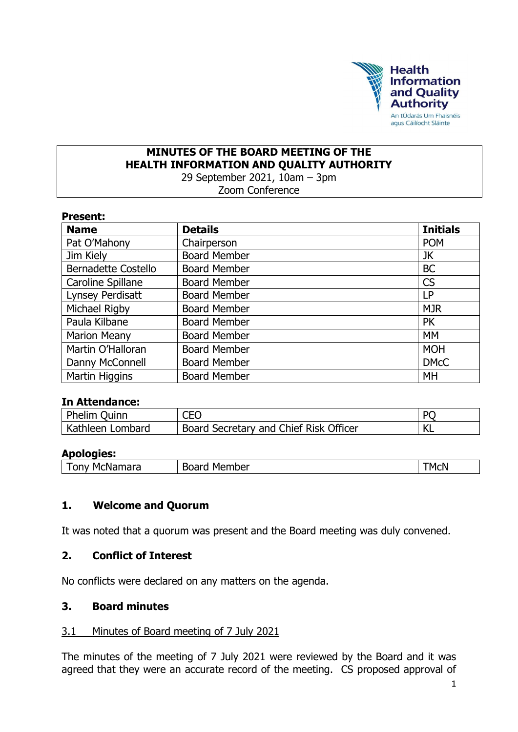

# **MINUTES OF THE BOARD MEETING OF THE HEALTH INFORMATION AND QUALITY AUTHORITY**

29 September 2021, 10am – 3pm

Zoom Conference

| <b>Present:</b> |
|-----------------|
|-----------------|

| <b>Name</b>                | <b>Details</b>      | <b>Initials</b> |
|----------------------------|---------------------|-----------------|
| Pat O'Mahony               | Chairperson         | <b>POM</b>      |
| Jim Kiely                  | <b>Board Member</b> | JK              |
| <b>Bernadette Costello</b> | <b>Board Member</b> | <b>BC</b>       |
| Caroline Spillane          | <b>Board Member</b> | <b>CS</b>       |
| Lynsey Perdisatt           | <b>Board Member</b> | LP              |
| Michael Rigby              | <b>Board Member</b> | <b>MJR</b>      |
| Paula Kilbane              | <b>Board Member</b> | <b>PK</b>       |
| <b>Marion Meany</b>        | <b>Board Member</b> | <b>MM</b>       |
| Martin O'Halloran          | <b>Board Member</b> | <b>MOH</b>      |
| Danny McConnell            | <b>Board Member</b> | <b>DMcC</b>     |
| Martin Higgins             | <b>Board Member</b> | MH              |

#### **In Attendance:**

| Phelim Quinn     | CEO                                                 | DC                  |
|------------------|-----------------------------------------------------|---------------------|
| Kathleen Lombard | <sup>1</sup> Board Secretary and Chief Risk Officer | $\mathcal{U}$<br>NL |

#### **Apologies:**

| McNamara | Member | MCN  |
|----------|--------|------|
| ำก∿      | Boarc  | ____ |

#### **1. Welcome and Quorum**

It was noted that a quorum was present and the Board meeting was duly convened.

#### **2. Conflict of Interest**

No conflicts were declared on any matters on the agenda.

#### **3. Board minutes**

#### 3.1 Minutes of Board meeting of 7 July 2021

The minutes of the meeting of 7 July 2021 were reviewed by the Board and it was agreed that they were an accurate record of the meeting. CS proposed approval of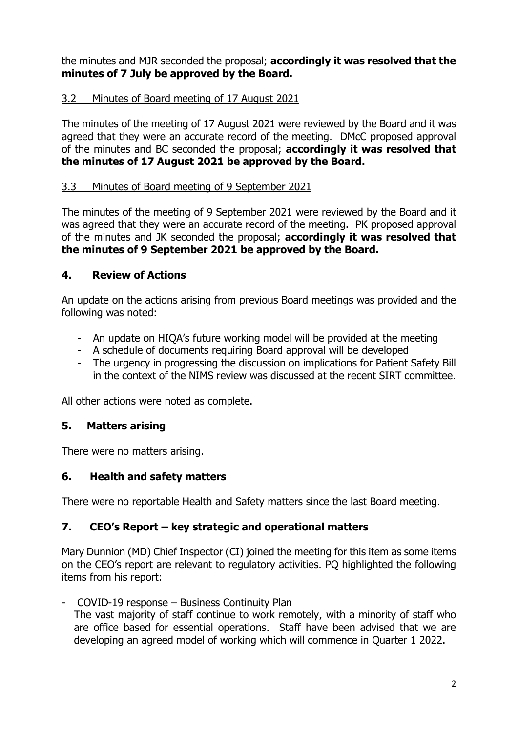the minutes and MJR seconded the proposal; **accordingly it was resolved that the minutes of 7 July be approved by the Board.**

## 3.2 Minutes of Board meeting of 17 August 2021

The minutes of the meeting of 17 August 2021 were reviewed by the Board and it was agreed that they were an accurate record of the meeting. DMcC proposed approval of the minutes and BC seconded the proposal; **accordingly it was resolved that the minutes of 17 August 2021 be approved by the Board.**

### 3.3 Minutes of Board meeting of 9 September 2021

The minutes of the meeting of 9 September 2021 were reviewed by the Board and it was agreed that they were an accurate record of the meeting. PK proposed approval of the minutes and JK seconded the proposal; **accordingly it was resolved that the minutes of 9 September 2021 be approved by the Board.**

### **4. Review of Actions**

An update on the actions arising from previous Board meetings was provided and the following was noted:

- An update on HIQA's future working model will be provided at the meeting
- A schedule of documents requiring Board approval will be developed
- The urgency in progressing the discussion on implications for Patient Safety Bill in the context of the NIMS review was discussed at the recent SIRT committee.

All other actions were noted as complete.

### **5. Matters arising**

There were no matters arising.

### **6. Health and safety matters**

There were no reportable Health and Safety matters since the last Board meeting.

### **7. CEO's Report – key strategic and operational matters**

Mary Dunnion (MD) Chief Inspector (CI) joined the meeting for this item as some items on the CEO's report are relevant to regulatory activities. PQ highlighted the following items from his report:

- COVID-19 response – Business Continuity Plan

The vast majority of staff continue to work remotely, with a minority of staff who are office based for essential operations. Staff have been advised that we are developing an agreed model of working which will commence in Quarter 1 2022.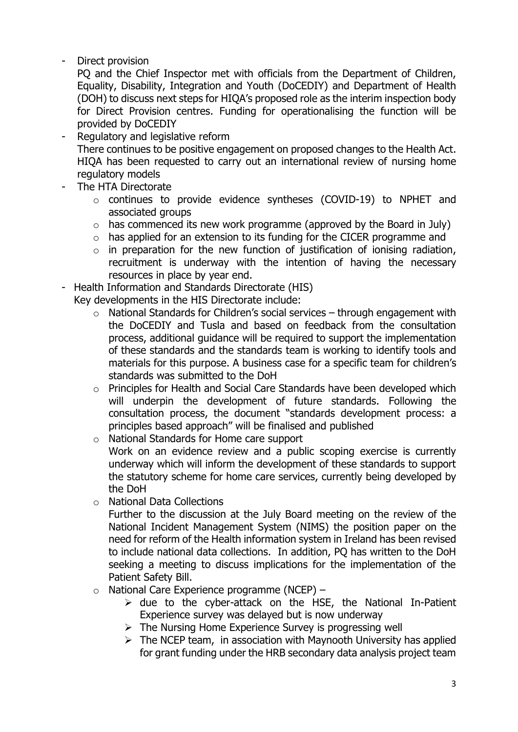Direct provision

PQ and the Chief Inspector met with officials from the Department of Children, Equality, Disability, Integration and Youth (DoCEDIY) and Department of Health (DOH) to discuss next steps for HIQA's proposed role as the interim inspection body for Direct Provision centres. Funding for operationalising the function will be provided by DoCEDIY

- Regulatory and legislative reform There continues to be positive engagement on proposed changes to the Health Act. HIQA has been requested to carry out an international review of nursing home regulatory models
- The HTA Directorate
	- o continues to provide evidence syntheses (COVID-19) to NPHET and associated groups
	- $\circ$  has commenced its new work programme (approved by the Board in July)
	- o has applied for an extension to its funding for the CICER programme and
	- $\circ$  in preparation for the new function of justification of ionising radiation, recruitment is underway with the intention of having the necessary resources in place by year end.
- Health Information and Standards Directorate (HIS)

Key developments in the HIS Directorate include:

- $\circ$  National Standards for Children's social services through engagement with the DoCEDIY and Tusla and based on feedback from the consultation process, additional guidance will be required to support the implementation of these standards and the standards team is working to identify tools and materials for this purpose. A business case for a specific team for children's standards was submitted to the DoH
- o Principles for Health and Social Care Standards have been developed which will underpin the development of future standards. Following the consultation process, the document "standards development process: a principles based approach" will be finalised and published
- o National Standards for Home care support Work on an evidence review and a public scoping exercise is currently underway which will inform the development of these standards to support the statutory scheme for home care services, currently being developed by the DoH
- o National Data Collections
	- Further to the discussion at the July Board meeting on the review of the National Incident Management System (NIMS) the position paper on the need for reform of the Health information system in Ireland has been revised to include national data collections. In addition, PQ has written to the DoH seeking a meeting to discuss implications for the implementation of the Patient Safety Bill.
- $\circ$  National Care Experience programme (NCEP)
	- $\triangleright$  due to the cyber-attack on the HSE, the National In-Patient Experience survey was delayed but is now underway
	- $\triangleright$  The Nursing Home Experience Survey is progressing well
	- $\triangleright$  The NCEP team, in association with Maynooth University has applied for grant funding under the HRB secondary data analysis project team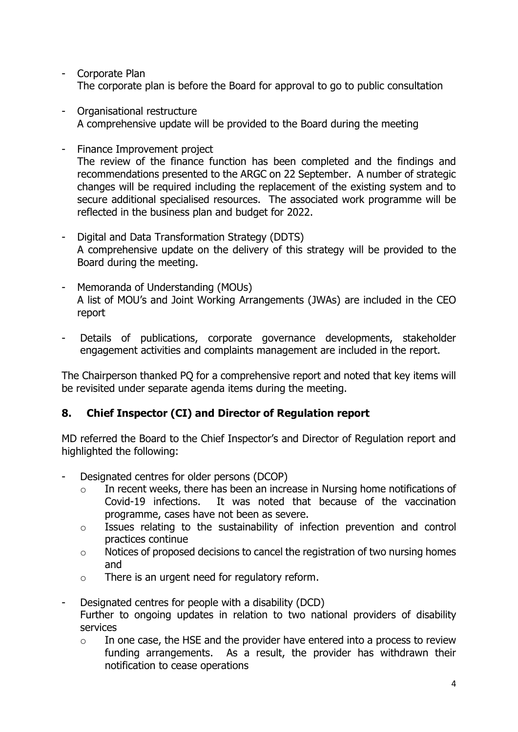- Corporate Plan The corporate plan is before the Board for approval to go to public consultation
- Organisational restructure A comprehensive update will be provided to the Board during the meeting
- Finance Improvement project The review of the finance function has been completed and the findings and recommendations presented to the ARGC on 22 September. A number of strategic changes will be required including the replacement of the existing system and to secure additional specialised resources. The associated work programme will be reflected in the business plan and budget for 2022.
- Digital and Data Transformation Strategy (DDTS) A comprehensive update on the delivery of this strategy will be provided to the Board during the meeting.
- Memoranda of Understanding (MOUs) A list of MOU's and Joint Working Arrangements (JWAs) are included in the CEO report
- Details of publications, corporate governance developments, stakeholder engagement activities and complaints management are included in the report.

The Chairperson thanked PQ for a comprehensive report and noted that key items will be revisited under separate agenda items during the meeting.

### **8. Chief Inspector (CI) and Director of Regulation report**

MD referred the Board to the Chief Inspector's and Director of Regulation report and highlighted the following:

- Designated centres for older persons (DCOP)
	- o In recent weeks, there has been an increase in Nursing home notifications of Covid-19 infections. It was noted that because of the vaccination programme, cases have not been as severe.
	- o Issues relating to the sustainability of infection prevention and control practices continue
	- o Notices of proposed decisions to cancel the registration of two nursing homes and
	- o There is an urgent need for regulatory reform.
- Designated centres for people with a disability (DCD) Further to ongoing updates in relation to two national providers of disability services
	- o In one case, the HSE and the provider have entered into a process to review funding arrangements. As a result, the provider has withdrawn their notification to cease operations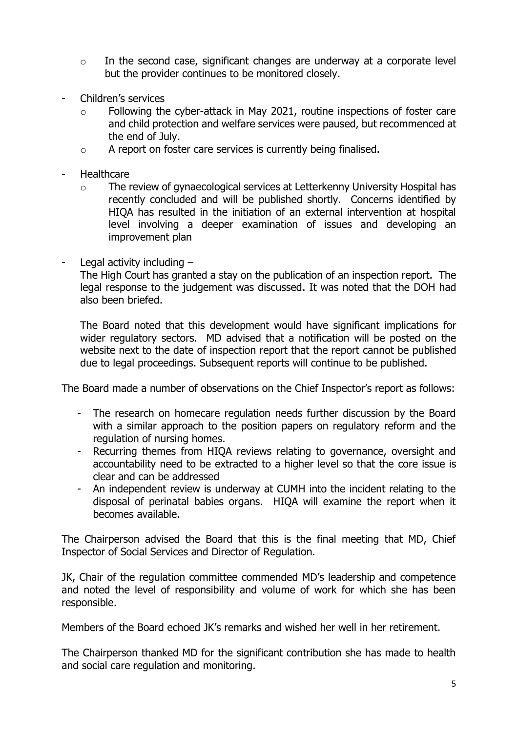- $\circ$  In the second case, significant changes are underway at a corporate level but the provider continues to be monitored closely.
- Children's services
	- o Following the cyber-attack in May 2021, routine inspections of foster care and child protection and welfare services were paused, but recommenced at the end of July.
	- o A report on foster care services is currently being finalised.
- Healthcare
	- o The review of gynaecological services at Letterkenny University Hospital has recently concluded and will be published shortly. Concerns identified by HIQA has resulted in the initiation of an external intervention at hospital level involving a deeper examination of issues and developing an improvement plan
- Legal activity including  $-$

The High Court has granted a stay on the publication of an inspection report. The legal response to the judgement was discussed. It was noted that the DOH had also been briefed.

The Board noted that this development would have significant implications for wider regulatory sectors. MD advised that a notification will be posted on the website next to the date of inspection report that the report cannot be published due to legal proceedings. Subsequent reports will continue to be published.

The Board made a number of observations on the Chief Inspector's report as follows:

- The research on homecare regulation needs further discussion by the Board with a similar approach to the position papers on regulatory reform and the regulation of nursing homes.
- Recurring themes from HIQA reviews relating to governance, oversight and accountability need to be extracted to a higher level so that the core issue is clear and can be addressed
- An independent review is underway at CUMH into the incident relating to the disposal of perinatal babies organs. HIQA will examine the report when it becomes available.

The Chairperson advised the Board that this is the final meeting that MD, Chief Inspector of Social Services and Director of Regulation.

JK, Chair of the regulation committee commended MD's leadership and competence and noted the level of responsibility and volume of work for which she has been responsible.

Members of the Board echoed JK's remarks and wished her well in her retirement.

The Chairperson thanked MD for the significant contribution she has made to health and social care regulation and monitoring.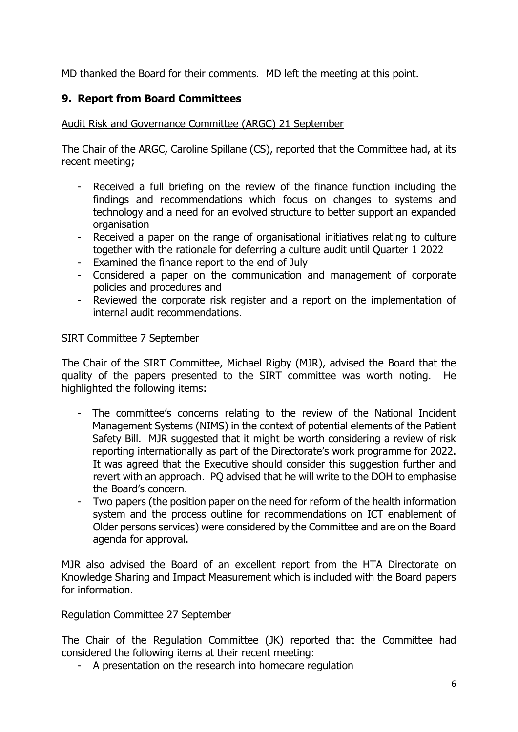MD thanked the Board for their comments. MD left the meeting at this point.

## **9. Report from Board Committees**

Audit Risk and Governance Committee (ARGC) 21 September

The Chair of the ARGC, Caroline Spillane (CS), reported that the Committee had, at its recent meeting;

- Received a full briefing on the review of the finance function including the findings and recommendations which focus on changes to systems and technology and a need for an evolved structure to better support an expanded organisation
- Received a paper on the range of organisational initiatives relating to culture together with the rationale for deferring a culture audit until Quarter 1 2022
- Examined the finance report to the end of July
- Considered a paper on the communication and management of corporate policies and procedures and
- Reviewed the corporate risk register and a report on the implementation of internal audit recommendations.

#### SIRT Committee 7 September

The Chair of the SIRT Committee, Michael Rigby (MJR), advised the Board that the quality of the papers presented to the SIRT committee was worth noting. He highlighted the following items:

- The committee's concerns relating to the review of the National Incident Management Systems (NIMS) in the context of potential elements of the Patient Safety Bill. MJR suggested that it might be worth considering a review of risk reporting internationally as part of the Directorate's work programme for 2022. It was agreed that the Executive should consider this suggestion further and revert with an approach. PQ advised that he will write to the DOH to emphasise the Board's concern.
- Two papers (the position paper on the need for reform of the health information system and the process outline for recommendations on ICT enablement of Older persons services) were considered by the Committee and are on the Board agenda for approval.

MJR also advised the Board of an excellent report from the HTA Directorate on Knowledge Sharing and Impact Measurement which is included with the Board papers for information.

#### Regulation Committee 27 September

The Chair of the Regulation Committee (JK) reported that the Committee had considered the following items at their recent meeting:

- A presentation on the research into homecare regulation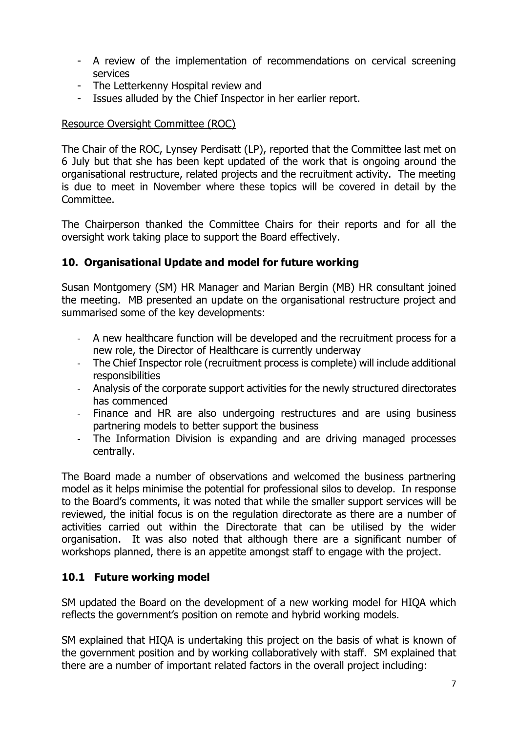- A review of the implementation of recommendations on cervical screening services
- The Letterkenny Hospital review and
- Issues alluded by the Chief Inspector in her earlier report.

#### Resource Oversight Committee (ROC)

The Chair of the ROC, Lynsey Perdisatt (LP), reported that the Committee last met on 6 July but that she has been kept updated of the work that is ongoing around the organisational restructure, related projects and the recruitment activity. The meeting is due to meet in November where these topics will be covered in detail by the Committee.

The Chairperson thanked the Committee Chairs for their reports and for all the oversight work taking place to support the Board effectively.

#### **10. Organisational Update and model for future working**

Susan Montgomery (SM) HR Manager and Marian Bergin (MB) HR consultant joined the meeting. MB presented an update on the organisational restructure project and summarised some of the key developments:

- A new healthcare function will be developed and the recruitment process for a new role, the Director of Healthcare is currently underway
- The Chief Inspector role (recruitment process is complete) will include additional responsibilities
- Analysis of the corporate support activities for the newly structured directorates has commenced
- Finance and HR are also undergoing restructures and are using business partnering models to better support the business
- The Information Division is expanding and are driving managed processes centrally.

The Board made a number of observations and welcomed the business partnering model as it helps minimise the potential for professional silos to develop. In response to the Board's comments, it was noted that while the smaller support services will be reviewed, the initial focus is on the regulation directorate as there are a number of activities carried out within the Directorate that can be utilised by the wider organisation. It was also noted that although there are a significant number of workshops planned, there is an appetite amongst staff to engage with the project.

#### **10.1 Future working model**

SM updated the Board on the development of a new working model for HIQA which reflects the government's position on remote and hybrid working models.

SM explained that HIQA is undertaking this project on the basis of what is known of the government position and by working collaboratively with staff. SM explained that there are a number of important related factors in the overall project including: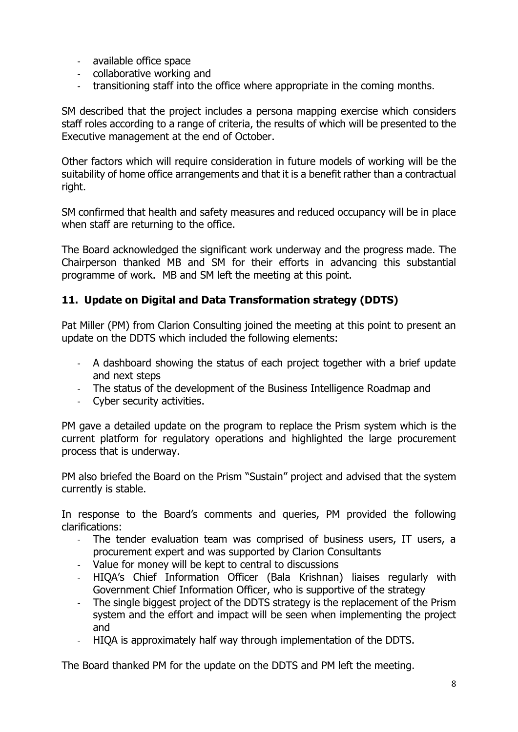- available office space
- collaborative working and
- transitioning staff into the office where appropriate in the coming months.

SM described that the project includes a persona mapping exercise which considers staff roles according to a range of criteria, the results of which will be presented to the Executive management at the end of October.

Other factors which will require consideration in future models of working will be the suitability of home office arrangements and that it is a benefit rather than a contractual right.

SM confirmed that health and safety measures and reduced occupancy will be in place when staff are returning to the office.

The Board acknowledged the significant work underway and the progress made. The Chairperson thanked MB and SM for their efforts in advancing this substantial programme of work. MB and SM left the meeting at this point.

### **11. Update on Digital and Data Transformation strategy (DDTS)**

Pat Miller (PM) from Clarion Consulting joined the meeting at this point to present an update on the DDTS which included the following elements:

- A dashboard showing the status of each project together with a brief update and next steps
- The status of the development of the Business Intelligence Roadmap and
- Cyber security activities.

PM gave a detailed update on the program to replace the Prism system which is the current platform for regulatory operations and highlighted the large procurement process that is underway.

PM also briefed the Board on the Prism "Sustain" project and advised that the system currently is stable.

In response to the Board's comments and queries, PM provided the following clarifications:

- The tender evaluation team was comprised of business users, IT users, a procurement expert and was supported by Clarion Consultants
- Value for money will be kept to central to discussions
- HIQA's Chief Information Officer (Bala Krishnan) liaises regularly with Government Chief Information Officer, who is supportive of the strategy
- The single biggest project of the DDTS strategy is the replacement of the Prism system and the effort and impact will be seen when implementing the project and
- HIQA is approximately half way through implementation of the DDTS.

The Board thanked PM for the update on the DDTS and PM left the meeting.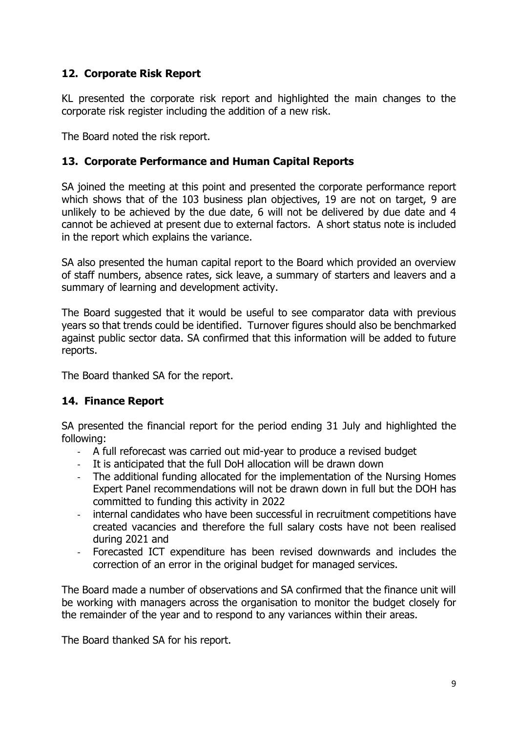### **12. Corporate Risk Report**

KL presented the corporate risk report and highlighted the main changes to the corporate risk register including the addition of a new risk.

The Board noted the risk report.

### **13. Corporate Performance and Human Capital Reports**

SA joined the meeting at this point and presented the corporate performance report which shows that of the 103 business plan objectives, 19 are not on target, 9 are unlikely to be achieved by the due date, 6 will not be delivered by due date and 4 cannot be achieved at present due to external factors. A short status note is included in the report which explains the variance.

SA also presented the human capital report to the Board which provided an overview of staff numbers, absence rates, sick leave, a summary of starters and leavers and a summary of learning and development activity.

The Board suggested that it would be useful to see comparator data with previous years so that trends could be identified. Turnover figures should also be benchmarked against public sector data. SA confirmed that this information will be added to future reports.

The Board thanked SA for the report.

#### **14. Finance Report**

SA presented the financial report for the period ending 31 July and highlighted the following:

- A full reforecast was carried out mid-year to produce a revised budget
- It is anticipated that the full DoH allocation will be drawn down
- The additional funding allocated for the implementation of the Nursing Homes Expert Panel recommendations will not be drawn down in full but the DOH has committed to funding this activity in 2022
- internal candidates who have been successful in recruitment competitions have created vacancies and therefore the full salary costs have not been realised during 2021 and
- Forecasted ICT expenditure has been revised downwards and includes the correction of an error in the original budget for managed services.

The Board made a number of observations and SA confirmed that the finance unit will be working with managers across the organisation to monitor the budget closely for the remainder of the year and to respond to any variances within their areas.

The Board thanked SA for his report.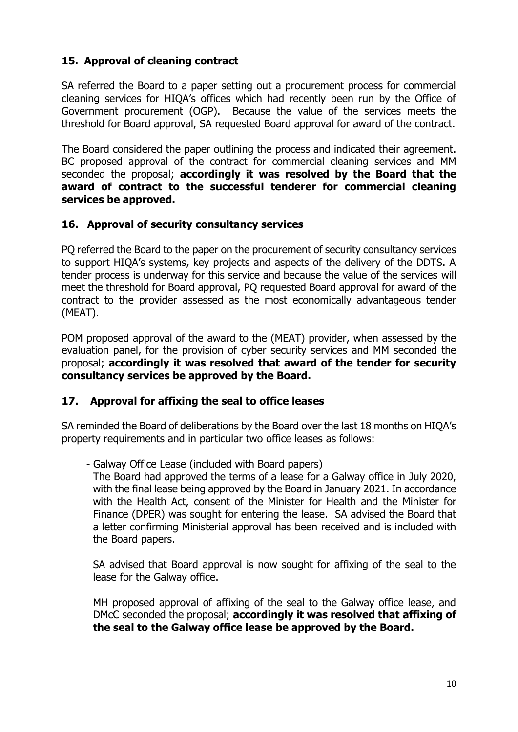## **15. Approval of cleaning contract**

SA referred the Board to a paper setting out a procurement process for commercial cleaning services for HIQA's offices which had recently been run by the Office of Government procurement (OGP). Because the value of the services meets the threshold for Board approval, SA requested Board approval for award of the contract.

The Board considered the paper outlining the process and indicated their agreement. BC proposed approval of the contract for commercial cleaning services and MM seconded the proposal; **accordingly it was resolved by the Board that the award of contract to the successful tenderer for commercial cleaning services be approved.**

### **16. Approval of security consultancy services**

PQ referred the Board to the paper on the procurement of security consultancy services to support HIQA's systems, key projects and aspects of the delivery of the DDTS. A tender process is underway for this service and because the value of the services will meet the threshold for Board approval, PQ requested Board approval for award of the contract to the provider assessed as the most economically advantageous tender (MEAT).

POM proposed approval of the award to the (MEAT) provider, when assessed by the evaluation panel, for the provision of cyber security services and MM seconded the proposal; **accordingly it was resolved that award of the tender for security consultancy services be approved by the Board.**

#### **17. Approval for affixing the seal to office leases**

SA reminded the Board of deliberations by the Board over the last 18 months on HIQA's property requirements and in particular two office leases as follows:

#### - Galway Office Lease (included with Board papers)

The Board had approved the terms of a lease for a Galway office in July 2020, with the final lease being approved by the Board in January 2021. In accordance with the Health Act, consent of the Minister for Health and the Minister for Finance (DPER) was sought for entering the lease. SA advised the Board that a letter confirming Ministerial approval has been received and is included with the Board papers.

SA advised that Board approval is now sought for affixing of the seal to the lease for the Galway office.

MH proposed approval of affixing of the seal to the Galway office lease, and DMcC seconded the proposal; **accordingly it was resolved that affixing of the seal to the Galway office lease be approved by the Board.**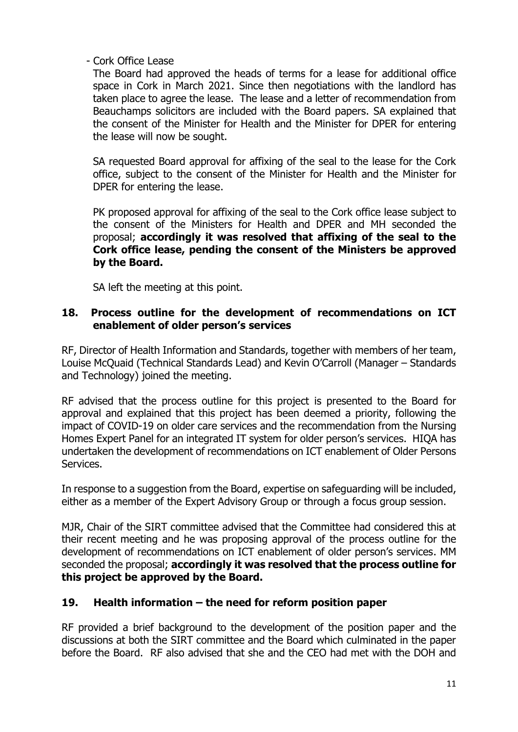### - Cork Office Lease

The Board had approved the heads of terms for a lease for additional office space in Cork in March 2021. Since then negotiations with the landlord has taken place to agree the lease. The lease and a letter of recommendation from Beauchamps solicitors are included with the Board papers. SA explained that the consent of the Minister for Health and the Minister for DPER for entering the lease will now be sought.

SA requested Board approval for affixing of the seal to the lease for the Cork office, subject to the consent of the Minister for Health and the Minister for DPER for entering the lease.

PK proposed approval for affixing of the seal to the Cork office lease subject to the consent of the Ministers for Health and DPER and MH seconded the proposal; **accordingly it was resolved that affixing of the seal to the Cork office lease, pending the consent of the Ministers be approved by the Board.**

SA left the meeting at this point.

### **18. Process outline for the development of recommendations on ICT enablement of older person's services**

RF, Director of Health Information and Standards, together with members of her team, Louise McQuaid (Technical Standards Lead) and Kevin O'Carroll (Manager – Standards and Technology) joined the meeting.

RF advised that the process outline for this project is presented to the Board for approval and explained that this project has been deemed a priority, following the impact of COVID-19 on older care services and the recommendation from the Nursing Homes Expert Panel for an integrated IT system for older person's services. HIQA has undertaken the development of recommendations on ICT enablement of Older Persons Services.

In response to a suggestion from the Board, expertise on safeguarding will be included, either as a member of the Expert Advisory Group or through a focus group session.

MJR, Chair of the SIRT committee advised that the Committee had considered this at their recent meeting and he was proposing approval of the process outline for the development of recommendations on ICT enablement of older person's services. MM seconded the proposal; **accordingly it was resolved that the process outline for this project be approved by the Board.**

### **19. Health information – the need for reform position paper**

RF provided a brief background to the development of the position paper and the discussions at both the SIRT committee and the Board which culminated in the paper before the Board. RF also advised that she and the CEO had met with the DOH and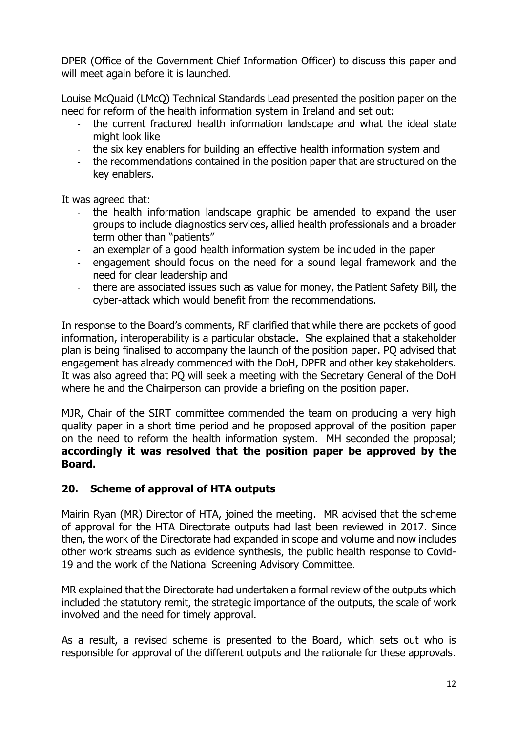DPER (Office of the Government Chief Information Officer) to discuss this paper and will meet again before it is launched.

Louise McQuaid (LMcQ) Technical Standards Lead presented the position paper on the need for reform of the health information system in Ireland and set out:

- the current fractured health information landscape and what the ideal state might look like
- the six key enablers for building an effective health information system and
- the recommendations contained in the position paper that are structured on the key enablers.

It was agreed that:

- the health information landscape graphic be amended to expand the user groups to include diagnostics services, allied health professionals and a broader term other than "patients"
- an exemplar of a good health information system be included in the paper
- engagement should focus on the need for a sound legal framework and the need for clear leadership and
- there are associated issues such as value for money, the Patient Safety Bill, the cyber-attack which would benefit from the recommendations.

In response to the Board's comments, RF clarified that while there are pockets of good information, interoperability is a particular obstacle. She explained that a stakeholder plan is being finalised to accompany the launch of the position paper. PQ advised that engagement has already commenced with the DoH, DPER and other key stakeholders. It was also agreed that PQ will seek a meeting with the Secretary General of the DoH where he and the Chairperson can provide a briefing on the position paper.

MJR, Chair of the SIRT committee commended the team on producing a very high quality paper in a short time period and he proposed approval of the position paper on the need to reform the health information system. MH seconded the proposal; **accordingly it was resolved that the position paper be approved by the Board.**

#### **20. Scheme of approval of HTA outputs**

Mairin Ryan (MR) Director of HTA, joined the meeting. MR advised that the scheme of approval for the HTA Directorate outputs had last been reviewed in 2017. Since then, the work of the Directorate had expanded in scope and volume and now includes other work streams such as evidence synthesis, the public health response to Covid-19 and the work of the National Screening Advisory Committee.

MR explained that the Directorate had undertaken a formal review of the outputs which included the statutory remit, the strategic importance of the outputs, the scale of work involved and the need for timely approval.

As a result, a revised scheme is presented to the Board, which sets out who is responsible for approval of the different outputs and the rationale for these approvals.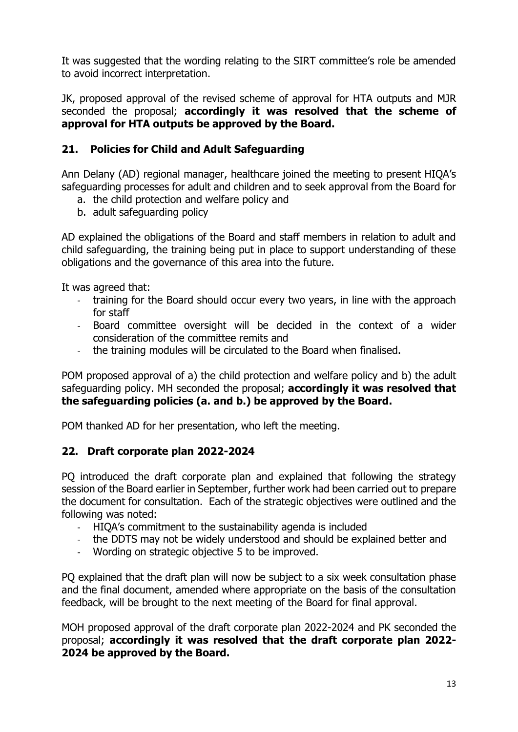It was suggested that the wording relating to the SIRT committee's role be amended to avoid incorrect interpretation.

JK, proposed approval of the revised scheme of approval for HTA outputs and MJR seconded the proposal; **accordingly it was resolved that the scheme of approval for HTA outputs be approved by the Board.**

### **21. Policies for Child and Adult Safeguarding**

Ann Delany (AD) regional manager, healthcare joined the meeting to present HIQA's safeguarding processes for adult and children and to seek approval from the Board for

- a. the child protection and welfare policy and
- b. adult safeguarding policy

AD explained the obligations of the Board and staff members in relation to adult and child safeguarding, the training being put in place to support understanding of these obligations and the governance of this area into the future.

It was agreed that:

- training for the Board should occur every two years, in line with the approach for staff
- Board committee oversight will be decided in the context of a wider consideration of the committee remits and
- the training modules will be circulated to the Board when finalised.

POM proposed approval of a) the child protection and welfare policy and b) the adult safeguarding policy. MH seconded the proposal; **accordingly it was resolved that the safeguarding policies (a. and b.) be approved by the Board.**

POM thanked AD for her presentation, who left the meeting.

### **22. Draft corporate plan 2022-2024**

PQ introduced the draft corporate plan and explained that following the strategy session of the Board earlier in September, further work had been carried out to prepare the document for consultation. Each of the strategic objectives were outlined and the following was noted:

- HIQA's commitment to the sustainability agenda is included
- the DDTS may not be widely understood and should be explained better and
- Wording on strategic objective 5 to be improved.

PQ explained that the draft plan will now be subject to a six week consultation phase and the final document, amended where appropriate on the basis of the consultation feedback, will be brought to the next meeting of the Board for final approval.

MOH proposed approval of the draft corporate plan 2022-2024 and PK seconded the proposal; **accordingly it was resolved that the draft corporate plan 2022- 2024 be approved by the Board.**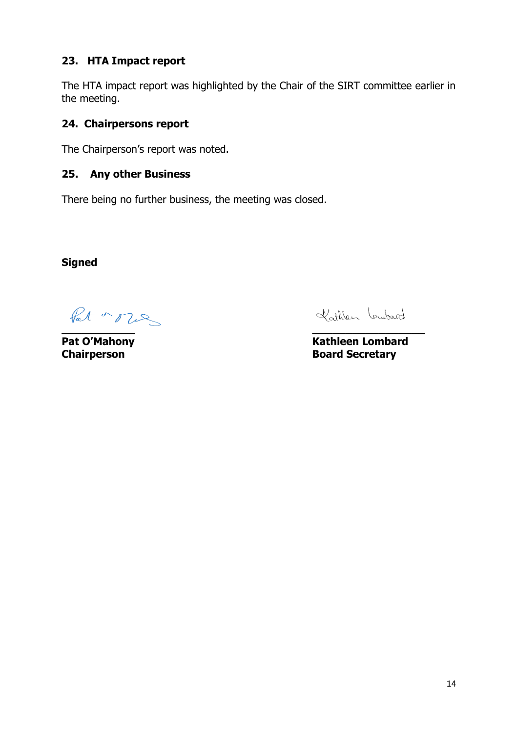### **23. HTA Impact report**

The HTA impact report was highlighted by the Chair of the SIRT committee earlier in the meeting.

### **24. Chairpersons report**

The Chairperson's report was noted.

### **25. Any other Business**

There being no further business, the meeting was closed.

**Signed**

fat a nes **\_\_\_\_\_\_\_\_\_\_\_ \_\_\_\_\_\_\_\_\_\_\_\_\_\_\_\_\_**

Kathlen Loubard

**Pat O'Mahony Contract Contract Contract Contract Contract Contract Contract Contract Contract Contract Contract Contract Contract Contract Contract Contract Contract Contract Contract Contract Contract Contract Contract Chairperson Board Secretary**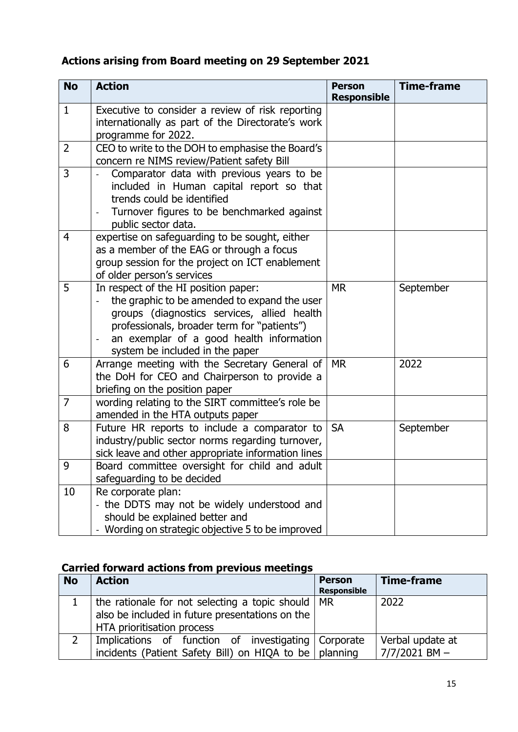# **Actions arising from Board meeting on 29 September 2021**

| <b>No</b>      | <b>Action</b>                                                                                                                                                                                                                                                                       | <b>Person</b><br><b>Responsible</b> | <b>Time-frame</b> |
|----------------|-------------------------------------------------------------------------------------------------------------------------------------------------------------------------------------------------------------------------------------------------------------------------------------|-------------------------------------|-------------------|
| $\mathbf{1}$   | Executive to consider a review of risk reporting<br>internationally as part of the Directorate's work<br>programme for 2022.                                                                                                                                                        |                                     |                   |
| $\overline{2}$ | CEO to write to the DOH to emphasise the Board's<br>concern re NIMS review/Patient safety Bill                                                                                                                                                                                      |                                     |                   |
| 3              | Comparator data with previous years to be<br>included in Human capital report so that<br>trends could be identified<br>Turnover figures to be benchmarked against<br>public sector data.                                                                                            |                                     |                   |
| 4              | expertise on safeguarding to be sought, either<br>as a member of the EAG or through a focus<br>group session for the project on ICT enablement<br>of older person's services                                                                                                        |                                     |                   |
| 5              | In respect of the HI position paper:<br>the graphic to be amended to expand the user<br>groups (diagnostics services, allied health<br>professionals, broader term for "patients")<br>an exemplar of a good health information<br>$\blacksquare$<br>system be included in the paper | <b>MR</b>                           | September         |
| 6              | Arrange meeting with the Secretary General of<br>the DoH for CEO and Chairperson to provide a<br>briefing on the position paper                                                                                                                                                     | <b>MR</b>                           | 2022              |
| $\overline{7}$ | wording relating to the SIRT committee's role be<br>amended in the HTA outputs paper                                                                                                                                                                                                |                                     |                   |
| 8              | Future HR reports to include a comparator to<br>industry/public sector norms regarding turnover,<br>sick leave and other appropriate information lines                                                                                                                              | <b>SA</b>                           | September         |
| 9              | Board committee oversight for child and adult<br>safeguarding to be decided                                                                                                                                                                                                         |                                     |                   |
| 10             | Re corporate plan:<br>- the DDTS may not be widely understood and<br>should be explained better and<br>- Wording on strategic objective 5 to be improved                                                                                                                            |                                     |                   |

# **Carried forward actions from previous meetings**

| <b>No</b> | <b>Action</b>                                                  | <b>Person</b><br><b>Responsible</b> | <b>Time-frame</b> |
|-----------|----------------------------------------------------------------|-------------------------------------|-------------------|
|           | the rationale for not selecting a topic should   MR            |                                     | 2022              |
|           | also be included in future presentations on the                |                                     |                   |
|           | HTA prioritisation process                                     |                                     |                   |
|           | Implications of function of investigating Corporate            |                                     | Verbal update at  |
|           | incidents (Patient Safety Bill) on HIQA to be $\vert$ planning |                                     | $7/7/2021$ BM $-$ |